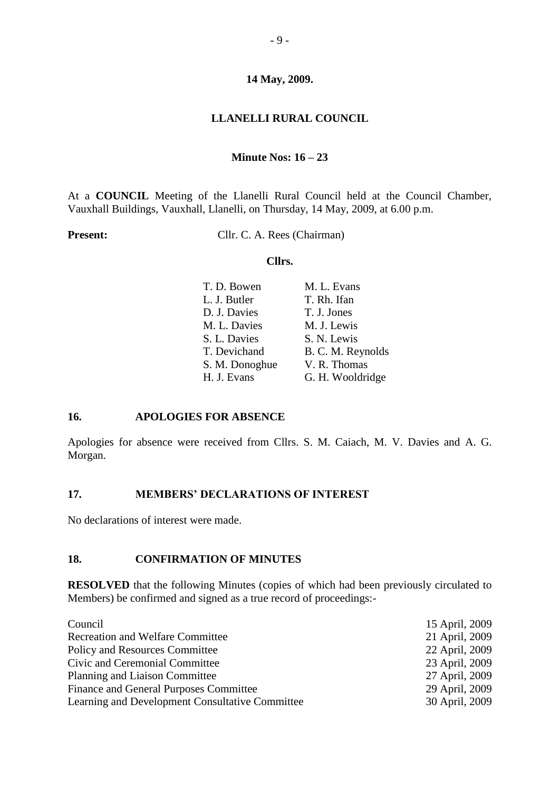# **LLANELLI RURAL COUNCIL**

## **Minute Nos: 16 – 23**

At a **COUNCIL** Meeting of the Llanelli Rural Council held at the Council Chamber, Vauxhall Buildings, Vauxhall, Llanelli, on Thursday, 14 May, 2009, at 6.00 p.m.

**Present:** Cllr. C. A. Rees (Chairman)

### **Cllrs.**

| T. D. Bowen    | M. L. Evans       |
|----------------|-------------------|
| L. J. Butler   | T. Rh. Ifan       |
| D. J. Davies   | T. J. Jones       |
| M. L. Davies   | M. J. Lewis       |
| S. L. Davies   | S. N. Lewis       |
| T. Devichand   | B. C. M. Reynolds |
| S. M. Donoghue | V. R. Thomas      |
| H. J. Evans    | G. H. Wooldridge  |
|                |                   |

## **16. APOLOGIES FOR ABSENCE**

Apologies for absence were received from Cllrs. S. M. Caiach, M. V. Davies and A. G. Morgan.

## **17. MEMBERS' DECLARATIONS OF INTEREST**

No declarations of interest were made.

## **18. CONFIRMATION OF MINUTES**

**RESOLVED** that the following Minutes (copies of which had been previously circulated to Members) be confirmed and signed as a true record of proceedings:-

| Council                                         | 15 April, 2009 |
|-------------------------------------------------|----------------|
| <b>Recreation and Welfare Committee</b>         | 21 April, 2009 |
| <b>Policy and Resources Committee</b>           | 22 April, 2009 |
| Civic and Ceremonial Committee                  | 23 April, 2009 |
| <b>Planning and Liaison Committee</b>           | 27 April, 2009 |
| Finance and General Purposes Committee          | 29 April, 2009 |
| Learning and Development Consultative Committee | 30 April, 2009 |
|                                                 |                |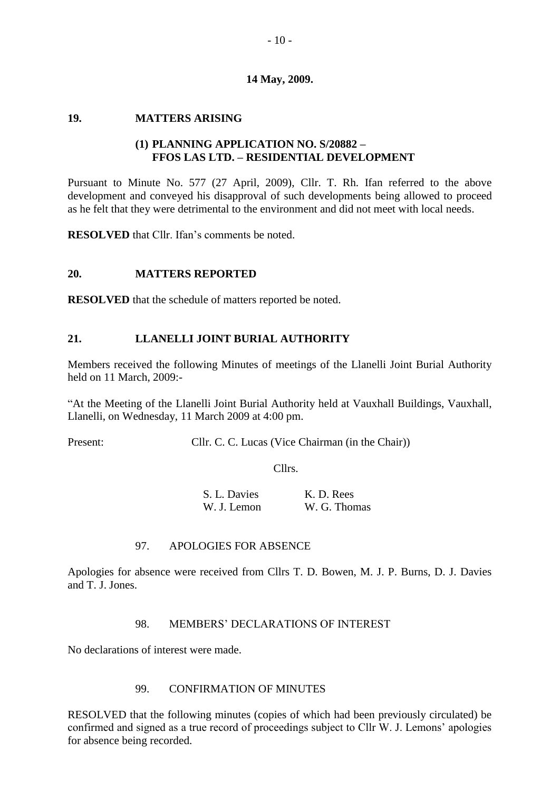## **19. MATTERS ARISING**

# **(1) PLANNING APPLICATION NO. S/20882 – FFOS LAS LTD. – RESIDENTIAL DEVELOPMENT**

Pursuant to Minute No. 577 (27 April, 2009), Cllr. T. Rh. Ifan referred to the above development and conveyed his disapproval of such developments being allowed to proceed as he felt that they were detrimental to the environment and did not meet with local needs.

**RESOLVED** that Cllr. Ifan's comments be noted.

## **20. MATTERS REPORTED**

**RESOLVED** that the schedule of matters reported be noted.

## **21. LLANELLI JOINT BURIAL AUTHORITY**

Members received the following Minutes of meetings of the Llanelli Joint Burial Authority held on 11 March, 2009:-

"At the Meeting of the Llanelli Joint Burial Authority held at Vauxhall Buildings, Vauxhall, Llanelli, on Wednesday, 11 March 2009 at 4:00 pm.

Present: Cllr. C. C. Lucas (Vice Chairman (in the Chair))

Cllrs.

| S. L. Davies | K. D. Rees   |
|--------------|--------------|
| W. J. Lemon  | W. G. Thomas |

### 97. APOLOGIES FOR ABSENCE

Apologies for absence were received from Cllrs T. D. Bowen, M. J. P. Burns, D. J. Davies and T. J. Jones.

## 98. MEMBERS' DECLARATIONS OF INTEREST

No declarations of interest were made.

## 99. CONFIRMATION OF MINUTES

RESOLVED that the following minutes (copies of which had been previously circulated) be confirmed and signed as a true record of proceedings subject to Cllr W. J. Lemons' apologies for absence being recorded.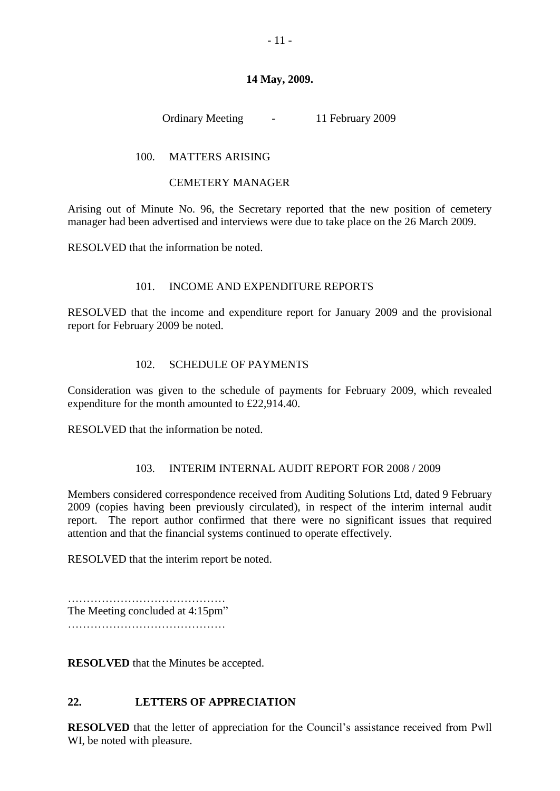Ordinary Meeting - 11 February 2009

# 100. MATTERS ARISING

## CEMETERY MANAGER

Arising out of Minute No. 96, the Secretary reported that the new position of cemetery manager had been advertised and interviews were due to take place on the 26 March 2009.

RESOLVED that the information be noted.

# 101. INCOME AND EXPENDITURE REPORTS

RESOLVED that the income and expenditure report for January 2009 and the provisional report for February 2009 be noted.

# 102. SCHEDULE OF PAYMENTS

Consideration was given to the schedule of payments for February 2009, which revealed expenditure for the month amounted to £22,914.40.

RESOLVED that the information be noted.

## 103. INTERIM INTERNAL AUDIT REPORT FOR 2008 / 2009

Members considered correspondence received from Auditing Solutions Ltd, dated 9 February 2009 (copies having been previously circulated), in respect of the interim internal audit report. The report author confirmed that there were no significant issues that required attention and that the financial systems continued to operate effectively.

RESOLVED that the interim report be noted.

…………………………………… The Meeting concluded at 4:15pm"

……………………………………

**RESOLVED** that the Minutes be accepted.

## **22. LETTERS OF APPRECIATION**

**RESOLVED** that the letter of appreciation for the Council's assistance received from Pwll WI, be noted with pleasure.